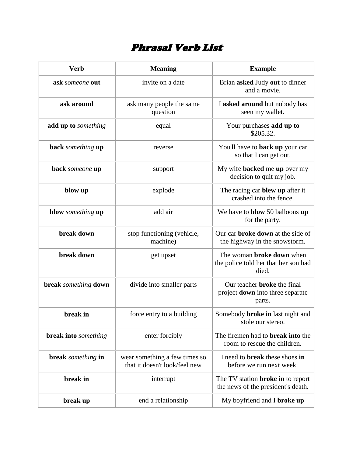## Phrasal Verb List

| <b>Verb</b>                 | <b>Meaning</b>                                                 | <b>Example</b>                                                                          |
|-----------------------------|----------------------------------------------------------------|-----------------------------------------------------------------------------------------|
| ask someone out             | invite on a date                                               | Brian asked Judy out to dinner<br>and a movie.                                          |
| ask around                  | ask many people the same<br>question                           | I asked around but nobody has<br>seen my wallet.                                        |
| add up to something         | equal                                                          | Your purchases add up to<br>\$205.32.                                                   |
| back something up           | reverse                                                        | You'll have to <b>back up</b> your car<br>so that I can get out.                        |
| back someone up             | support                                                        | My wife <b>backed</b> me up over my<br>decision to quit my job.                         |
| blow up                     | explode                                                        | The racing car blew up after it<br>crashed into the fence.                              |
| blow something up           | add air                                                        | We have to blow 50 balloons up<br>for the party.                                        |
| break down                  | stop functioning (vehicle,<br>machine)                         | Our car <b>broke down</b> at the side of<br>the highway in the snowstorm.               |
| break down                  | get upset                                                      | The woman <b>broke down</b> when<br>the police told her that her son had<br>died.       |
| break something down        | divide into smaller parts                                      | Our teacher <b>broke</b> the final<br>project <b>down</b> into three separate<br>parts. |
| break in                    | force entry to a building                                      | Somebody <b>broke in</b> last night and<br>stole our stereo.                            |
| <b>break into</b> something | enter forcibly                                                 | The firemen had to <b>break into</b> the<br>room to rescue the children.                |
| <b>break</b> something in   | wear something a few times so<br>that it doesn't look/feel new | I need to <b>break</b> these shoes in<br>before we run next week.                       |
| break in                    | interrupt                                                      | The TV station <b>broke in</b> to report<br>the news of the president's death.          |
| break up                    | end a relationship                                             | My boyfriend and I broke up                                                             |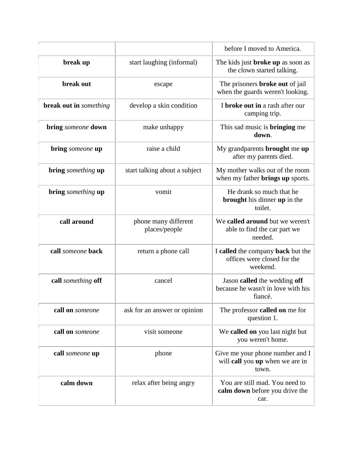|                        |                                       | before I moved to America.                                                    |
|------------------------|---------------------------------------|-------------------------------------------------------------------------------|
| break up               | start laughing (informal)             | The kids just <b>broke up</b> as soon as<br>the clown started talking.        |
| break out              | escape                                | The prisoners <b>broke out</b> of jail<br>when the guards weren't looking.    |
| break out in something | develop a skin condition              | I broke out in a rash after our<br>camping trip.                              |
| bring someone down     | make unhappy                          | This sad music is <b>bringing</b> me<br>down.                                 |
| bring someone up       | raise a child                         | My grandparents <b>brought</b> me up<br>after my parents died.                |
| bring something up     | start talking about a subject         | My mother walks out of the room<br>when my father <b>brings</b> up sports.    |
| bring something up     | vomit                                 | He drank so much that he<br>brought his dinner up in the<br>toilet.           |
| call around            | phone many different<br>places/people | We called around but we weren't<br>able to find the car part we<br>needed.    |
| call someone back      | return a phone call                   | I called the company back but the<br>offices were closed for the<br>weekend.  |
| call something off     | cancel                                | Jason called the wedding off<br>because he wasn't in love with his<br>fiancé. |
| call on someone        | ask for an answer or opinion          | The professor <b>called on</b> me for<br>question 1.                          |
| call on someone        | visit someone                         | We called on you last night but<br>you weren't home.                          |
| call someone up        | phone                                 | Give me your phone number and I<br>will call you up when we are in<br>town.   |
| calm down              | relax after being angry               | You are still mad. You need to<br>calm down before you drive the<br>car.      |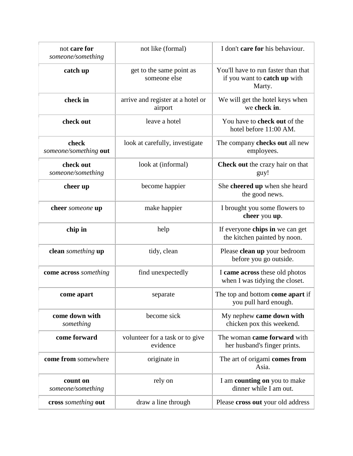| not care for<br>someone/something | not like (formal)                            | I don't care for his behaviour.                                                      |
|-----------------------------------|----------------------------------------------|--------------------------------------------------------------------------------------|
| catch up                          | get to the same point as<br>someone else     | You'll have to run faster than that<br>if you want to <b>catch up</b> with<br>Marty. |
| check in                          | arrive and register at a hotel or<br>airport | We will get the hotel keys when<br>we check in.                                      |
| check out                         | leave a hotel                                | You have to <b>check out</b> of the<br>hotel before 11:00 AM.                        |
| check<br>someone/something out    | look at carefully, investigate               | The company checks out all new<br>employees.                                         |
| check out<br>someone/something    | look at (informal)                           | Check out the crazy hair on that<br>guy!                                             |
| cheer up                          | become happier                               | She cheered up when she heard<br>the good news.                                      |
| cheer someone up                  | make happier                                 | I brought you some flowers to<br>cheer you up.                                       |
| chip in                           | help                                         | If everyone chips in we can get<br>the kitchen painted by noon.                      |
| clean something up                | tidy, clean                                  | Please clean up your bedroom<br>before you go outside.                               |
| come across something             | find unexpectedly                            | I came across these old photos<br>when I was tidying the closet.                     |
| come apart                        | separate                                     | The top and bottom come apart if<br>you pull hard enough.                            |
| come down with<br>something       | become sick                                  | My nephew came down with<br>chicken pox this weekend.                                |
| come forward                      | volunteer for a task or to give<br>evidence  | The woman came forward with<br>her husband's finger prints.                          |
| come from somewhere               | originate in                                 | The art of origami comes from<br>Asia.                                               |
| count on<br>someone/something     | rely on                                      | I am counting on you to make<br>dinner while I am out.                               |
| cross something out               | draw a line through                          | Please cross out your old address                                                    |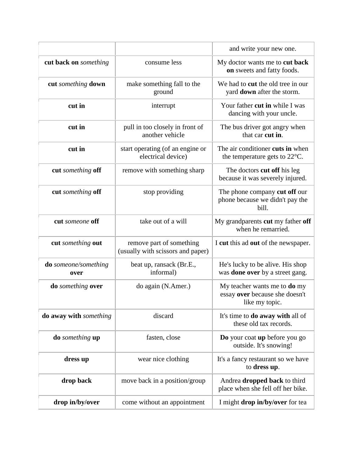|                                     |                                                               | and write your new one.                                                                 |
|-------------------------------------|---------------------------------------------------------------|-----------------------------------------------------------------------------------------|
| cut back on something               | consume less                                                  | My doctor wants me to cut back<br>on sweets and fatty foods.                            |
| cut something down                  | make something fall to the<br>ground                          | We had to <b>cut</b> the old tree in our<br>yard down after the storm.                  |
| cut in                              | interrupt                                                     | Your father cut in while I was<br>dancing with your uncle.                              |
| cut in                              | pull in too closely in front of<br>another vehicle            | The bus driver got angry when<br>that car cut in.                                       |
| cut in                              | start operating (of an engine or<br>electrical device)        | The air conditioner cuts in when<br>the temperature gets to $22^{\circ}$ C.             |
| cut something off                   | remove with something sharp                                   | The doctors <b>cut off</b> his leg<br>because it was severely injured.                  |
| cut something off                   | stop providing                                                | The phone company cut off our<br>phone because we didn't pay the<br>bill.               |
| cut someone off                     | take out of a will                                            | My grandparents cut my father off<br>when he remarried.                                 |
| cut something out                   | remove part of something<br>(usually with scissors and paper) | I cut this ad out of the newspaper.                                                     |
| <b>do</b> someone/something<br>over | beat up, ransack (Br.E.,<br>informal)                         | He's lucky to be alive. His shop<br>was <b>done</b> over by a street gang.              |
| do something over                   | do again (N.Amer.)                                            | My teacher wants me to <b>do</b> my<br>essay over because she doesn't<br>like my topic. |
| do away with something              | discard                                                       | It's time to <b>do away with</b> all of<br>these old tax records.                       |
| do something up                     | fasten, close                                                 | Do your coat up before you go<br>outside. It's snowing!                                 |
| dress up                            | wear nice clothing                                            | It's a fancy restaurant so we have<br>to dress up.                                      |
| drop back                           | move back in a position/group                                 | Andrea <b>dropped</b> back to third<br>place when she fell off her bike.                |
| drop in/by/over                     | come without an appointment                                   | I might drop in/by/over for tea                                                         |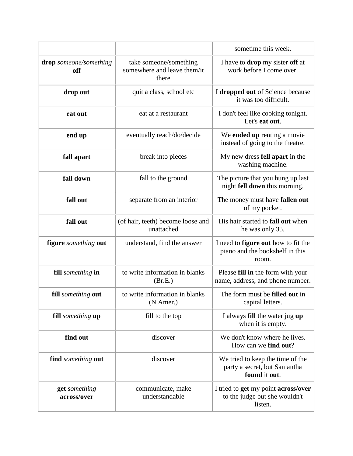|                               |                                                                | sometime this week.                                                                           |
|-------------------------------|----------------------------------------------------------------|-----------------------------------------------------------------------------------------------|
| drop someone/something<br>off | take someone/something<br>somewhere and leave them/it<br>there | I have to <b>drop</b> my sister off at<br>work before I come over.                            |
| drop out                      | quit a class, school etc                                       | I dropped out of Science because<br>it was too difficult.                                     |
| eat out                       | eat at a restaurant                                            | I don't feel like cooking tonight.<br>Let's eat out.                                          |
| end up                        | eventually reach/do/decide                                     | We <b>ended up</b> renting a movie<br>instead of going to the theatre.                        |
| fall apart                    | break into pieces                                              | My new dress fell apart in the<br>washing machine.                                            |
| fall down                     | fall to the ground                                             | The picture that you hung up last<br>night fell down this morning.                            |
| fall out                      | separate from an interior                                      | The money must have fallen out<br>of my pocket.                                               |
| fall out                      | (of hair, teeth) become loose and<br>unattached                | His hair started to <b>fall out</b> when<br>he was only 35.                                   |
| figure something out          | understand, find the answer                                    | I need to <b>figure out</b> how to fit the<br>piano and the bookshelf in this<br>room.        |
| fill something in             | to write information in blanks<br>(Br.E.)                      | Please fill in the form with your<br>name, address, and phone number.                         |
| fill something out            | to write information in blanks<br>(N.Amer.)                    | The form must be <b>filled out</b> in<br>capital letters.                                     |
| fill something up             | fill to the top                                                | I always <b>fill</b> the water jug up<br>when it is empty.                                    |
| find out                      | discover                                                       | We don't know where he lives.<br>How can we find out?                                         |
| find something out            | discover                                                       | We tried to keep the time of the<br>party a secret, but Samantha<br>found it out.             |
| get something<br>across/over  | communicate, make<br>understandable                            | I tried to <b>get</b> my point <b>across/over</b><br>to the judge but she wouldn't<br>listen. |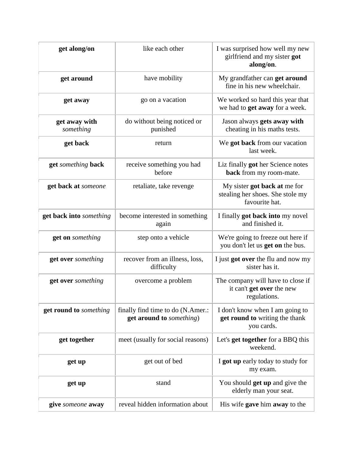| get along/on               | like each other                                               | I was surprised how well my new<br>girlfriend and my sister got<br>along/on.       |
|----------------------------|---------------------------------------------------------------|------------------------------------------------------------------------------------|
| get around                 | have mobility                                                 | My grandfather can get around<br>fine in his new wheelchair.                       |
| get away                   | go on a vacation                                              | We worked so hard this year that<br>we had to <b>get away</b> for a week.          |
| get away with<br>something | do without being noticed or<br>punished                       | Jason always gets away with<br>cheating in his maths tests.                        |
| get back                   | return                                                        | We got back from our vacation<br>last week.                                        |
| get something back         | receive something you had<br>before                           | Liz finally got her Science notes<br>back from my room-mate.                       |
| get back at someone        | retaliate, take revenge                                       | My sister got back at me for<br>stealing her shoes. She stole my<br>favourite hat. |
| get back into something    | become interested in something<br>again                       | I finally <b>got back into</b> my novel<br>and finished it.                        |
| get on something           | step onto a vehicle                                           | We're going to freeze out here if<br>you don't let us <b>get on</b> the bus.       |
| get over something         | recover from an illness, loss,<br>difficulty                  | I just got over the flu and now my<br>sister has it.                               |
| get over something         | overcome a problem                                            | The company will have to close if<br>it can't get over the new<br>regulations.     |
| get round to something     | finally find time to do (N.Amer.:<br>get around to something) | I don't know when I am going to<br>get round to writing the thank<br>you cards.    |
| get together               | meet (usually for social reasons)                             | Let's <b>get together</b> for a BBQ this<br>weekend.                               |
| get up                     | get out of bed                                                | I got up early today to study for<br>my exam.                                      |
| get up                     | stand                                                         | You should <b>get up</b> and give the<br>elderly man your seat.                    |
| give someone away          | reveal hidden information about                               | His wife gave him away to the                                                      |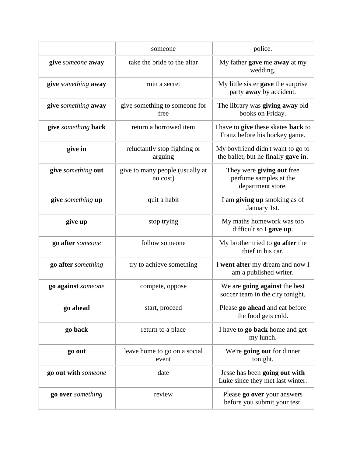|                     | someone                                     | police.                                                                  |
|---------------------|---------------------------------------------|--------------------------------------------------------------------------|
| give someone away   | take the bride to the altar                 | My father gave me away at my<br>wedding.                                 |
| give something away | ruin a secret                               | My little sister gave the surprise<br>party away by accident.            |
| give something away | give something to someone for<br>free       | The library was <b>giving away</b> old<br>books on Friday.               |
| give something back | return a borrowed item                      | I have to give these skates back to<br>Franz before his hockey game.     |
| give in             | reluctantly stop fighting or<br>arguing     | My boyfriend didn't want to go to<br>the ballet, but he finally gave in. |
| give something out  | give to many people (usually at<br>no cost) | They were giving out free<br>perfume samples at the<br>department store. |
| give something up   | quit a habit                                | I am giving up smoking as of<br>January 1st.                             |
| give up             | stop trying                                 | My maths homework was too<br>difficult so I gave up.                     |
| go after someone    | follow someone                              | My brother tried to <b>go after</b> the<br>thief in his car.             |
| go after something  | try to achieve something                    | I went after my dream and now I<br>am a published writer.                |
| go against someone  | compete, oppose                             | We are going against the best<br>soccer team in the city tonight.        |
| go ahead            | start, proceed                              | Please go ahead and eat before<br>the food gets cold.                    |
| go back             | return to a place                           | I have to go back home and get<br>my lunch.                              |
| go out              | leave home to go on a social<br>event       | We're going out for dinner<br>tonight.                                   |
| go out with someone | date                                        | Jesse has been going out with<br>Luke since they met last winter.        |
| go over something   | review                                      | Please go over your answers<br>before you submit your test.              |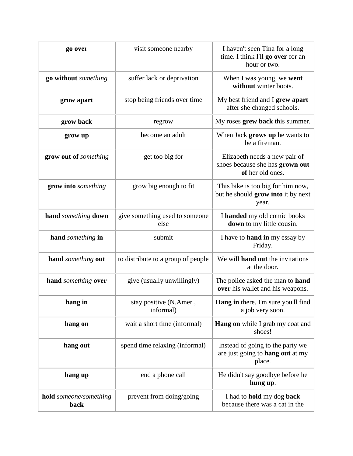| go over                               | visit someone nearby                   | I haven't seen Tina for a long<br>time. I think I'll go over for an<br>hour or two.  |
|---------------------------------------|----------------------------------------|--------------------------------------------------------------------------------------|
| go without something                  | suffer lack or deprivation             | When I was young, we went<br>without winter boots.                                   |
| grow apart                            | stop being friends over time           | My best friend and I grew apart<br>after she changed schools.                        |
| grow back                             | regrow                                 | My roses grew back this summer.                                                      |
| grow up                               | become an adult                        | When Jack grows up he wants to<br>be a fireman.                                      |
| grow out of something                 | get too big for                        | Elizabeth needs a new pair of<br>shoes because she has grown out<br>of her old ones. |
| grow into something                   | grow big enough to fit                 | This bike is too big for him now,<br>but he should grow into it by next<br>year.     |
| hand something down                   | give something used to someone<br>else | I handed my old comic books<br>down to my little cousin.                             |
| hand something in                     | submit                                 | I have to <b>hand in</b> my essay by<br>Friday.                                      |
| hand something out                    | to distribute to a group of people     | We will hand out the invitations<br>at the door.                                     |
| hand something over                   | give (usually unwillingly)             | The police asked the man to hand<br>over his wallet and his weapons.                 |
| hang in                               | stay positive (N.Amer.,<br>informal)   | Hang in there. I'm sure you'll find<br>a job very soon.                              |
| hang on                               | wait a short time (informal)           | <b>Hang on</b> while I grab my coat and<br>shoes!                                    |
| hang out                              | spend time relaxing (informal)         | Instead of going to the party we<br>are just going to hang out at my<br>place.       |
| hang up                               | end a phone call                       | He didn't say goodbye before he<br>hung up.                                          |
| <b>hold</b> someone/something<br>back | prevent from doing/going               | I had to hold my dog back<br>because there was a cat in the                          |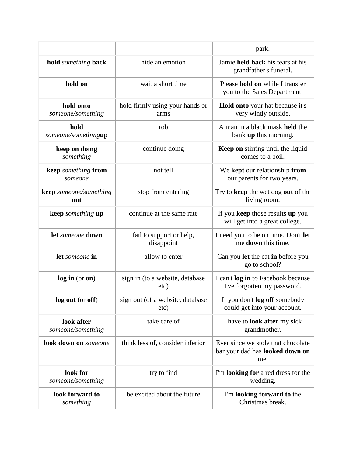|                                 |                                          | park.                                                                        |
|---------------------------------|------------------------------------------|------------------------------------------------------------------------------|
| hold something back             | hide an emotion                          | Jamie held back his tears at his<br>grandfather's funeral.                   |
| hold on                         | wait a short time                        | Please hold on while I transfer<br>you to the Sales Department.              |
| hold onto<br>someone/something  | hold firmly using your hands or<br>arms  | <b>Hold onto</b> your hat because it's<br>very windy outside.                |
| hold<br>someone/somethingup     | rob                                      | A man in a black mask held the<br>bank up this morning.                      |
| keep on doing<br>something      | continue doing                           | Keep on stirring until the liquid<br>comes to a boil.                        |
| keep something from<br>someone  | not tell                                 | We kept our relationship from<br>our parents for two years.                  |
| keep someone/something<br>out   | stop from entering                       | Try to keep the wet dog out of the<br>living room.                           |
| keep something up               | continue at the same rate                | If you keep those results up you<br>will get into a great college.           |
| let someone down                | fail to support or help,<br>disappoint   | I need you to be on time. Don't let<br>me down this time.                    |
| let someone in                  | allow to enter                           | Can you let the cat in before you<br>go to school?                           |
| log in (or on)                  | sign in (to a website, database<br>etc)  | I can't <b>log in</b> to Facebook because<br>I've forgotten my password.     |
| log out (or off)                | sign out (of a website, database<br>etc) | If you don't <b>log off</b> somebody<br>could get into your account.         |
| look after<br>someone/something | take care of                             | I have to <b>look after</b> my sick<br>grandmother.                          |
| look down on someone            | think less of, consider inferior         | Ever since we stole that chocolate<br>bar your dad has looked down on<br>me. |
| look for<br>someone/something   | try to find                              | I'm looking for a red dress for the<br>wedding.                              |
| look forward to<br>something    | be excited about the future              | I'm looking forward to the<br>Christmas break.                               |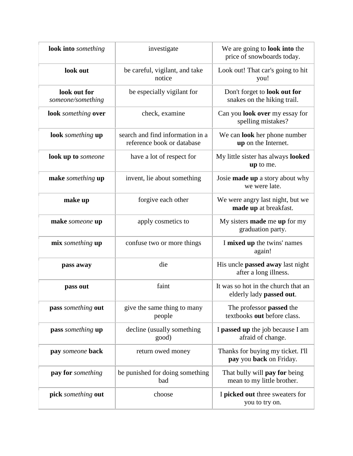| look into something               | investigate                                                    | We are going to <b>look into</b> the<br>price of snowboards today. |
|-----------------------------------|----------------------------------------------------------------|--------------------------------------------------------------------|
| look out                          | be careful, vigilant, and take<br>notice                       | Look out! That car's going to hit<br>you!                          |
| look out for<br>someone/something | be especially vigilant for                                     | Don't forget to <b>look out for</b><br>snakes on the hiking trail. |
| look something over               | check, examine                                                 | Can you <b>look over</b> my essay for<br>spelling mistakes?        |
| look something up                 | search and find information in a<br>reference book or database | We can <b>look</b> her phone number<br>up on the Internet.         |
| look up to someone                | have a lot of respect for                                      | My little sister has always looked<br>up to me.                    |
| make something up                 | invent, lie about something                                    | Josie made up a story about why<br>we were late.                   |
| make up                           | forgive each other                                             | We were angry last night, but we<br>made up at breakfast.          |
| make someone up                   | apply cosmetics to                                             | My sisters made me up for my<br>graduation party.                  |
| mix something up                  | confuse two or more things                                     | I mixed up the twins' names<br>again!                              |
| pass away                         | die                                                            | His uncle passed away last night<br>after a long illness.          |
| pass out                          | faint                                                          | It was so hot in the church that an<br>elderly lady passed out.    |
| pass something out                | give the same thing to many<br>people                          | The professor <b>passed</b> the<br>textbooks out before class.     |
| pass something up                 | decline (usually something<br>good)                            | I passed up the job because I am<br>afraid of change.              |
| pay someone back                  | return owed money                                              | Thanks for buying my ticket. I'll<br>pay you back on Friday.       |
| pay for something                 | be punished for doing something<br>bad                         | That bully will <b>pay for</b> being<br>mean to my little brother. |
| pick something out                | choose                                                         | I picked out three sweaters for<br>you to try on.                  |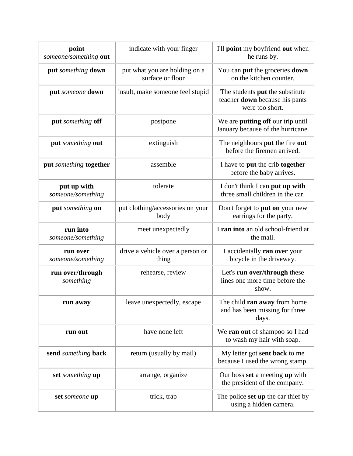| point<br>someone/something out   | indicate with your finger                         | I'll point my boyfriend out when<br>he runs by.                                             |
|----------------------------------|---------------------------------------------------|---------------------------------------------------------------------------------------------|
| put something down               | put what you are holding on a<br>surface or floor | You can put the groceries down<br>on the kitchen counter.                                   |
| put someone down                 | insult, make someone feel stupid                  | The students put the substitute<br>teacher <b>down</b> because his pants<br>were too short. |
| put something off                | postpone                                          | We are <b>putting off</b> our trip until<br>January because of the hurricane.               |
| put something out                | extinguish                                        | The neighbours put the fire out<br>before the firemen arrived.                              |
| put something together           | assemble                                          | I have to put the crib together<br>before the baby arrives.                                 |
| put up with<br>someone/something | tolerate                                          | I don't think I can put up with<br>three small children in the car.                         |
| put something on                 | put clothing/accessories on your<br>body          | Don't forget to <b>put on</b> your new<br>earrings for the party.                           |
| run into<br>someone/something    | meet unexpectedly                                 | I ran into an old school-friend at<br>the mall.                                             |
| run over<br>someone/something    | drive a vehicle over a person or<br>thing         | I accidentally ran over your<br>bicycle in the driveway.                                    |
| run over/through<br>something    | rehearse, review                                  | Let's run over/through these<br>lines one more time before the<br>show.                     |
| run away                         | leave unexpectedly, escape                        | The child ran away from home<br>and has been missing for three<br>days.                     |
| run out                          | have none left                                    | We ran out of shampoo so I had<br>to wash my hair with soap.                                |
| send something back              | return (usually by mail)                          | My letter got sent back to me<br>because I used the wrong stamp.                            |
| set something up                 | arrange, organize                                 | Our boss set a meeting up with<br>the president of the company.                             |
| set someone up                   | trick, trap                                       | The police set up the car thief by<br>using a hidden camera.                                |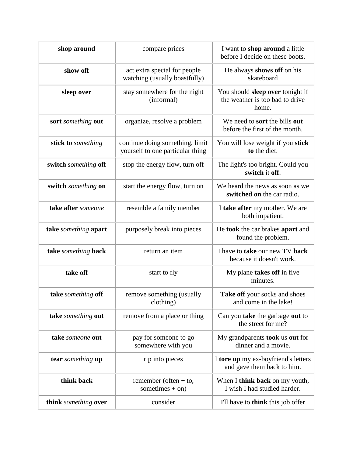| shop around          | compare prices                                                      | I want to shop around a little<br>before I decide on these boots.            |
|----------------------|---------------------------------------------------------------------|------------------------------------------------------------------------------|
| show off             | act extra special for people<br>watching (usually boastfully)       | He always shows off on his<br>skateboard                                     |
| sleep over           | stay somewhere for the night<br>(informal)                          | You should sleep over tonight if<br>the weather is too bad to drive<br>home. |
| sort something out   | organize, resolve a problem                                         | We need to sort the bills out<br>before the first of the month.              |
| stick to something   | continue doing something, limit<br>yourself to one particular thing | You will lose weight if you stick<br>to the diet.                            |
| switch something off | stop the energy flow, turn off                                      | The light's too bright. Could you<br>switch it off.                          |
| switch something on  | start the energy flow, turn on                                      | We heard the news as soon as we<br>switched on the car radio.                |
| take after someone   | resemble a family member                                            | I take after my mother. We are<br>both impatient.                            |
| take something apart | purposely break into pieces                                         | He took the car brakes apart and<br>found the problem.                       |
| take something back  | return an item                                                      | I have to take our new TV back<br>because it doesn't work.                   |
| take off             | start to fly                                                        | My plane takes off in five<br>minutes.                                       |
| take something off   | remove something (usually<br>clothing)                              | Take off your socks and shoes<br>and come in the lake!                       |
| take something out   | remove from a place or thing                                        | Can you take the garbage out to<br>the street for me?                        |
| take someone out     | pay for someone to go<br>somewhere with you                         | My grandparents took us out for<br>dinner and a movie.                       |
| tear something up    | rip into pieces                                                     | I tore up my ex-boyfriend's letters<br>and gave them back to him.            |
| think back           | remember (often $+$ to,<br>sometimes $+$ on)                        | When I think back on my youth,<br>I wish I had studied harder.               |
| think something over | consider                                                            | I'll have to think this job offer                                            |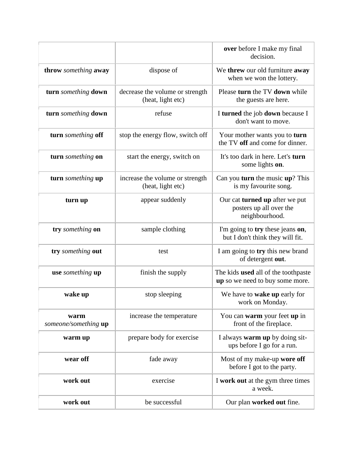|                              |                                                      | over before I make my final<br>decision.                                    |
|------------------------------|------------------------------------------------------|-----------------------------------------------------------------------------|
| throw something away         | dispose of                                           | We threw our old furniture away<br>when we won the lottery.                 |
| turn something down          | decrease the volume or strength<br>(heat, light etc) | Please turn the TV down while<br>the guests are here.                       |
| turn something down          | refuse                                               | I turned the job down because I<br>don't want to move.                      |
| turn something off           | stop the energy flow, switch off                     | Your mother wants you to turn<br>the TV off and come for dinner.            |
| turn something on            | start the energy, switch on                          | It's too dark in here. Let's turn<br>some lights on.                        |
| turn something up            | increase the volume or strength<br>(heat, light etc) | Can you turn the music up? This<br>is my favourite song.                    |
| turn up                      | appear suddenly                                      | Our cat turned up after we put<br>posters up all over the<br>neighbourhood. |
| try something on             | sample clothing                                      | I'm going to try these jeans on,<br>but I don't think they will fit.        |
| try something out            | test                                                 | I am going to try this new brand<br>of detergent out.                       |
| use something up             | finish the supply                                    | The kids used all of the toothpaste<br>up so we need to buy some more.      |
| wake up                      | stop sleeping                                        | We have to <b>wake up</b> early for<br>work on Monday.                      |
| warm<br>someone/something up | increase the temperature                             | You can warm your feet up in<br>front of the fireplace.                     |
| warm up                      | prepare body for exercise                            | I always warm up by doing sit-<br>ups before I go for a run.                |
| wear off                     | fade away                                            | Most of my make-up wore off<br>before I got to the party.                   |
| work out                     | exercise                                             | I work out at the gym three times<br>a week.                                |
| work out                     | be successful                                        | Our plan worked out fine.                                                   |